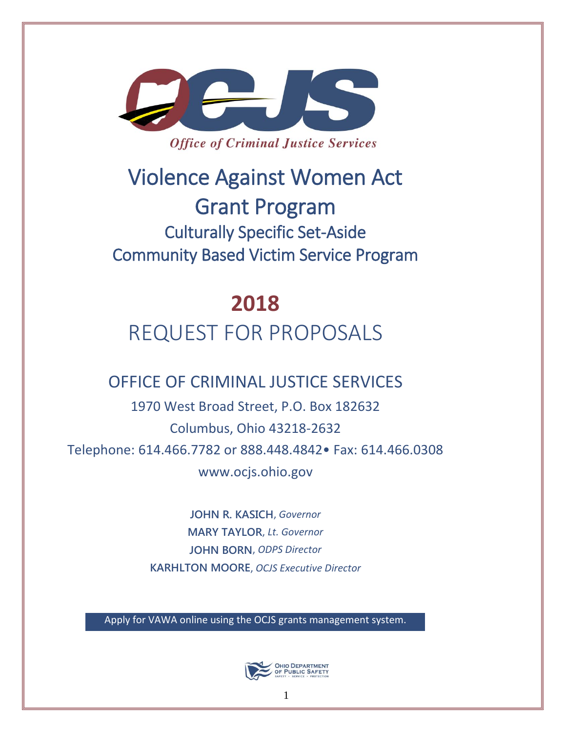

### **Office of Criminal Justice Services**

# Violence Against Women Act Grant Program Culturally Specific Set-Aside Community Based Victim Service Program

## **2018**

## REQUEST FOR PROPOSALS

## OFFICE OF CRIMINAL JUSTICE SERVICES

1970 West Broad Street, P.O. Box 182632 Columbus, Ohio 43218-2632 Telephone: 614.466.7782 or 888.448.4842• Fax: 614.466.0308 www.ocjs.ohio.gov

> **JOHN R. KASICH**, *Governor* **MARY TAYLOR**, *Lt. Governor* **JOHN BORN**, *ODPS Director*  **KARHLTON MOORE**, *OCJS Executive Director*

Apply for VAWA online using the OCJS grants management system.

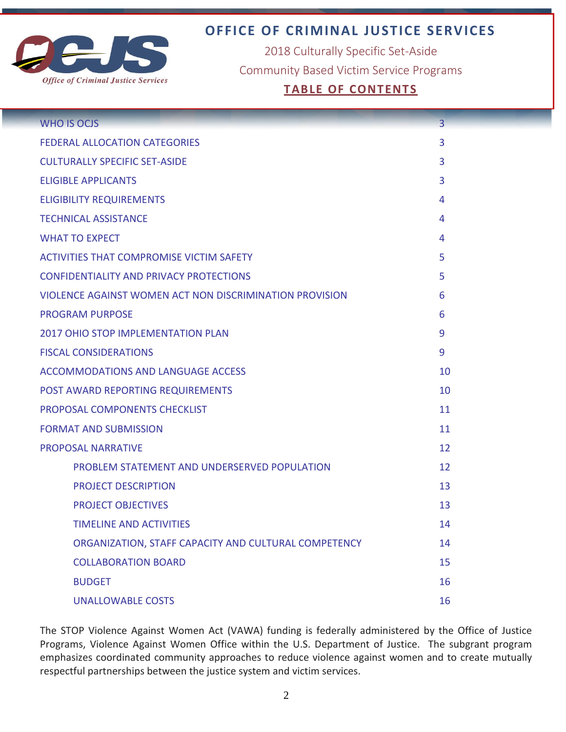

### **OFFICE OF CRIMINAL JUSTICE SERVICES**

2018 Culturally Specific Set-Aside Community Based Victim Service Programs

### **TABLE OF CONTENTS**

| <b>WHO IS OCJS</b>                                      | $\overline{3}$ |
|---------------------------------------------------------|----------------|
| <b>FEDERAL ALLOCATION CATEGORIES</b>                    | 3              |
| <b>CULTURALLY SPECIFIC SET-ASIDE</b>                    | 3              |
| <b>ELIGIBLE APPLICANTS</b>                              | 3              |
| <b>ELIGIBILITY REQUIREMENTS</b>                         | 4              |
| <b>TECHNICAL ASSISTANCE</b>                             | 4              |
| <b>WHAT TO EXPECT</b>                                   | 4              |
| <b>ACTIVITIES THAT COMPROMISE VICTIM SAFETY</b>         | 5              |
| <b>CONFIDENTIALITY AND PRIVACY PROTECTIONS</b>          | 5              |
| VIOLENCE AGAINST WOMEN ACT NON DISCRIMINATION PROVISION | 6              |
| <b>PROGRAM PURPOSE</b>                                  | 6              |
| <b>2017 OHIO STOP IMPLEMENTATION PLAN</b>               | 9              |
| <b>FISCAL CONSIDERATIONS</b>                            | 9              |
| <b>ACCOMMODATIONS AND LANGUAGE ACCESS</b>               | 10             |
| POST AWARD REPORTING REQUIREMENTS                       | 10             |
| PROPOSAL COMPONENTS CHECKLIST                           | 11             |
| <b>FORMAT AND SUBMISSION</b>                            | 11             |
| <b>PROPOSAL NARRATIVE</b>                               | 12             |
| PROBLEM STATEMENT AND UNDERSERVED POPULATION            | 12             |
| <b>PROJECT DESCRIPTION</b>                              | 13             |
| <b>PROJECT OBJECTIVES</b>                               | 13             |
| <b>TIMELINE AND ACTIVITIES</b>                          | 14             |
| ORGANIZATION, STAFF CAPACITY AND CULTURAL COMPETENCY    | 14             |
| <b>COLLABORATION BOARD</b>                              | 15             |
| <b>BUDGET</b>                                           | 16             |
| <b>UNALLOWABLE COSTS</b>                                | 16             |

The STOP Violence Against Women Act (VAWA) funding is federally administered by the Office of Justice Programs, Violence Against Women Office within the U.S. Department of Justice. The subgrant program emphasizes coordinated community approaches to reduce violence against women and to create mutually respectful partnerships between the justice system and victim services.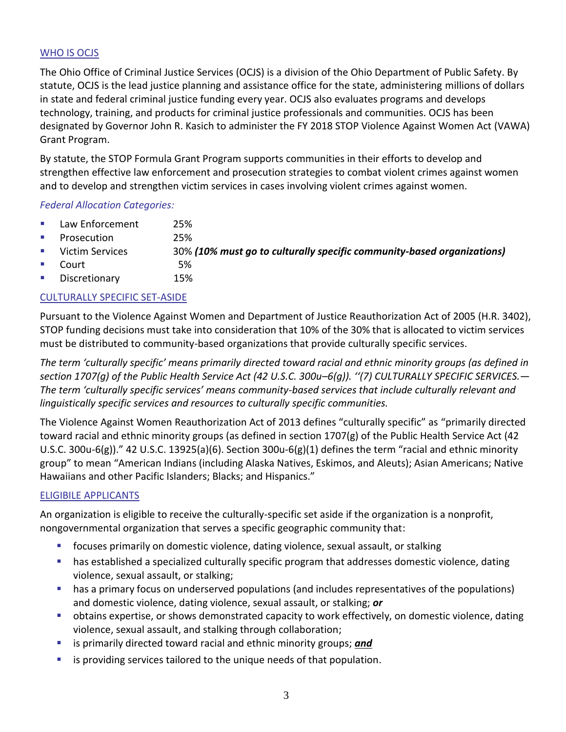#### WHO IS OCJS

The Ohio Office of Criminal Justice Services (OCJS) is a division of the Ohio Department of Public Safety. By statute, OCJS is the lead justice planning and assistance office for the state, administering millions of dollars in state and federal criminal justice funding every year. OCJS also evaluates programs and develops technology, training, and products for criminal justice professionals and communities. OCJS has been designated by Governor John R. Kasich to administer the FY 2018 STOP Violence Against Women Act (VAWA) Grant Program.

By statute, the STOP Formula Grant Program supports communities in their efforts to develop and strengthen effective law enforcement and prosecution strategies to combat violent crimes against women and to develop and strengthen victim services in cases involving violent crimes against women.

#### *Federal Allocation Categories:*

- **Law Enforcement** 25%
- **Prosecution** 25%
- Victim Services 30% *(10% must go to culturally specific community-based organizations)*
- Court 5%
- **Discretionary** 15%

#### CULTURALLY SPECIFIC SET-ASIDE

Pursuant to the Violence Against Women and Department of Justice Reauthorization Act of 2005 (H.R. 3402), STOP funding decisions must take into consideration that 10% of the 30% that is allocated to victim services must be distributed to community-based organizations that provide culturally specific services.

*The term 'culturally specific' means primarily directed toward racial and ethnic minority groups (as defined in section 1707(g) of the Public Health Service Act (42 U.S.C. 300u–6(g)). ''(7) CULTURALLY SPECIFIC SERVICES.— The term 'culturally specific services' means community-based services that include culturally relevant and linguistically specific services and resources to culturally specific communities.*

The Violence Against Women Reauthorization Act of 2013 defines "culturally specific" as "primarily directed toward racial and ethnic minority groups (as defined in section 1707(g) of the Public Health Service Act (42 U.S.C. 300u-6(g))." 42 U.S.C. 13925(a)(6). Section 300u-6(g)(1) defines the term "racial and ethnic minority group" to mean "American Indians (including Alaska Natives, Eskimos, and Aleuts); Asian Americans; Native Hawaiians and other Pacific Islanders; Blacks; and Hispanics."

#### ELIGIBILE APPLICANTS

An organization is eligible to receive the culturally-specific set aside if the organization is a nonprofit, nongovernmental organization that serves a specific geographic community that:

- focuses primarily on domestic violence, dating violence, sexual assault, or stalking
- **•** has established a specialized culturally specific program that addresses domestic violence, dating violence, sexual assault, or stalking;
- has a primary focus on underserved populations (and includes representatives of the populations) and domestic violence, dating violence, sexual assault, or stalking; *or*
- obtains expertise, or shows demonstrated capacity to work effectively, on domestic violence, dating violence, sexual assault, and stalking through collaboration;
- **EXTERN** is primarily directed toward racial and ethnic minority groups; **and**
- **EXTERGH** is providing services tailored to the unique needs of that population.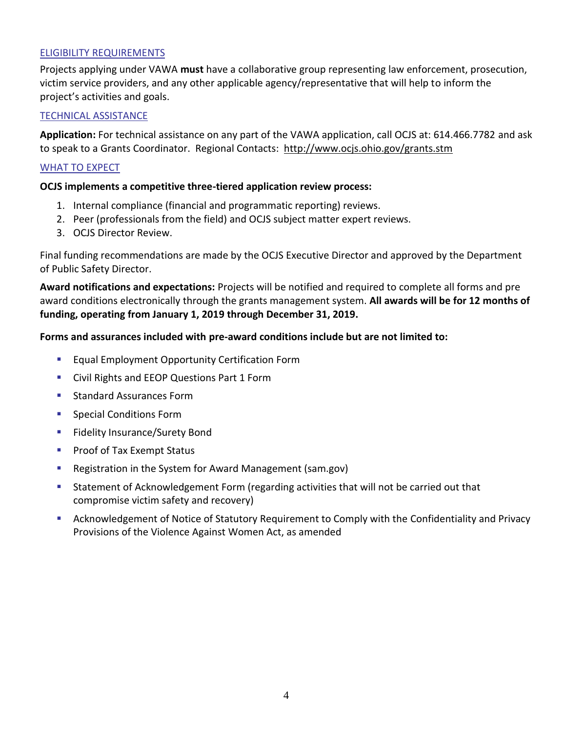#### ELIGIBILITY REQUIREMENTS

Projects applying under VAWA **must** have a collaborative group representing law enforcement, prosecution, victim service providers, and any other applicable agency/representative that will help to inform the project's activities and goals.

#### TECHNICAL ASSISTANCE

**Application:** For technical assistance on any part of the VAWA application, call OCJS at: 614.466.7782 and ask to speak to a Grants Coordinator. Regional Contacts: <http://www.ocjs.ohio.gov/grants.stm>

#### WHAT TO EXPECT

#### **OCJS implements a competitive three-tiered application review process:**

- 1. Internal compliance (financial and programmatic reporting) reviews.
- 2. Peer (professionals from the field) and OCJS subject matter expert reviews.
- 3. OCJS Director Review.

Final funding recommendations are made by the OCJS Executive Director and approved by the Department of Public Safety Director.

**Award notifications and expectations:** Projects will be notified and required to complete all forms and pre award conditions electronically through the grants management system. **All awards will be for 12 months of funding, operating from January 1, 2019 through December 31, 2019.**

#### **Forms and assurances included with pre-award conditions include but are not limited to:**

- **Equal Employment Opportunity Certification Form**
- **EXECT:** Civil Rights and EEOP Questions Part 1 Form
- **Standard Assurances Form**
- **Special Conditions Form**
- **Fidelity Insurance/Surety Bond**
- **Proof of Tax Exempt Status**
- Registration in the System for Award Management (sam.gov)
- Statement of Acknowledgement Form (regarding activities that will not be carried out that compromise victim safety and recovery)
- Acknowledgement of Notice of Statutory Requirement to Comply with the Confidentiality and Privacy Provisions of the Violence Against Women Act, as amended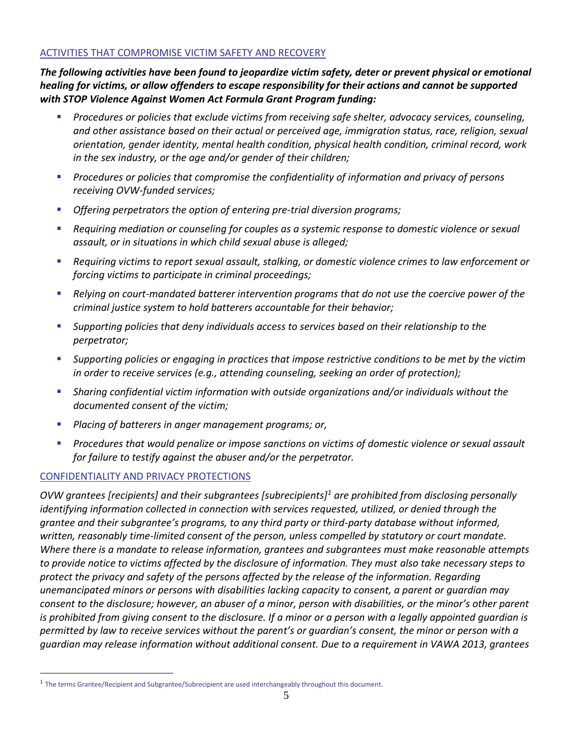#### ACTIVITIES THAT COMPROMISE VICTIM SAFETY AND RECOVERY

*The following activities have been found to jeopardize victim safety, deter or prevent physical or emotional healing for victims, or allow offenders to escape responsibility for their actions and cannot be supported with STOP Violence Against Women Act Formula Grant Program funding:* 

- *Procedures or policies that exclude victims from receiving safe shelter, advocacy services, counseling, and other assistance based on their actual or perceived age, immigration status, race, religion, sexual orientation, gender identity, mental health condition, physical health condition, criminal record, work in the sex industry, or the age and/or gender of their children;*
- *Procedures or policies that compromise the confidentiality of information and privacy of persons receiving OVW-funded services;*
- *Offering perpetrators the option of entering pre-trial diversion programs;*
- *Requiring mediation or counseling for couples as a systemic response to domestic violence or sexual assault, or in situations in which child sexual abuse is alleged;*
- *Requiring victims to report sexual assault, stalking, or domestic violence crimes to law enforcement or forcing victims to participate in criminal proceedings;*
- *Relying on court-mandated batterer intervention programs that do not use the coercive power of the criminal justice system to hold batterers accountable for their behavior;*
- *Supporting policies that deny individuals access to services based on their relationship to the perpetrator;*
- *Supporting policies or engaging in practices that impose restrictive conditions to be met by the victim in order to receive services (e.g., attending counseling, seeking an order of protection);*
- *Sharing confidential victim information with outside organizations and/or individuals without the documented consent of the victim;*
- *Placing of batterers in anger management programs; or,*
- *Procedures that would penalize or impose sanctions on victims of domestic violence or sexual assault for failure to testify against the abuser and/or the perpetrator.*

#### CONFIDENTIALITY AND PRIVACY PROTECTIONS

 $\overline{a}$ 

*OVW grantees [recipients] and their subgrantees [subrecipients]<sup>1</sup> are prohibited from disclosing personally identifying information collected in connection with services requested, utilized, or denied through the grantee and their subgrantee's programs, to any third party or third-party database without informed, written, reasonably time-limited consent of the person, unless compelled by statutory or court mandate. Where there is a mandate to release information, grantees and subgrantees must make reasonable attempts to provide notice to victims affected by the disclosure of information. They must also take necessary steps to protect the privacy and safety of the persons affected by the release of the information. Regarding unemancipated minors or persons with disabilities lacking capacity to consent, a parent or guardian may consent to the disclosure; however, an abuser of a minor, person with disabilities, or the minor's other parent is prohibited from giving consent to the disclosure. If a minor or a person with a legally appointed guardian is permitted by law to receive services without the parent's or guardian's consent, the minor or person with a guardian may release information without additional consent. Due to a requirement in VAWA 2013, grantees* 

<sup>&</sup>lt;sup>1</sup> The terms Grantee/Recipient and Subgrantee/Subrecipient are used interchangeably throughout this document.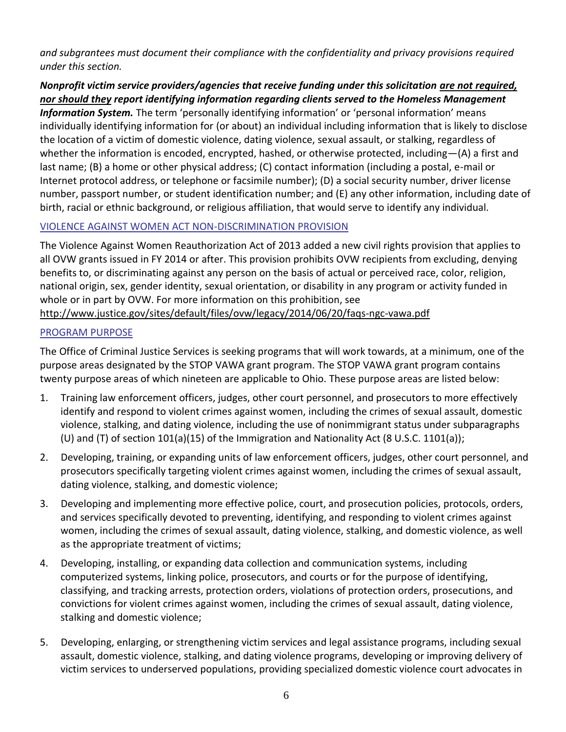*and subgrantees must document their compliance with the confidentiality and privacy provisions required under this section.*

#### *Nonprofit victim service providers/agencies that receive funding under this solicitation are not required, nor should they report identifying information regarding clients served to the Homeless Management*

*Information System.* The term 'personally identifying information' or 'personal information' means individually identifying information for (or about) an individual including information that is likely to disclose the location of a victim of domestic violence, dating violence, sexual assault, or stalking, regardless of whether the information is encoded, encrypted, hashed, or otherwise protected, including—(A) a first and last name; (B) a home or other physical address; (C) contact information (including a postal, e-mail or Internet protocol address, or telephone or facsimile number); (D) a social security number, driver license number, passport number, or student identification number; and (E) any other information, including date of birth, racial or ethnic background, or religious affiliation, that would serve to identify any individual.

#### VIOLENCE AGAINST WOMEN ACT NON-DISCRIMINATION PROVISION

The Violence Against Women Reauthorization Act of 2013 added a new civil rights provision that applies to all OVW grants issued in FY 2014 or after. This provision prohibits OVW recipients from excluding, denying benefits to, or discriminating against any person on the basis of actual or perceived race, color, religion, national origin, sex, gender identity, sexual orientation, or disability in any program or activity funded in whole or in part by OVW. For more information on this prohibition, see <http://www.justice.gov/sites/default/files/ovw/legacy/2014/06/20/faqs-ngc-vawa.pdf>

#### PROGRAM PURPOSE

The Office of Criminal Justice Services is seeking programs that will work towards, at a minimum, one of the purpose areas designated by the STOP VAWA grant program. The STOP VAWA grant program contains twenty purpose areas of which nineteen are applicable to Ohio. These purpose areas are listed below:

- 1. Training law enforcement officers, judges, other court personnel, and prosecutors to more effectively identify and respond to violent crimes against women, including the crimes of sexual assault, domestic violence, stalking, and dating violence, including the use of nonimmigrant status under subparagraphs (U) and (T) of section  $101(a)(15)$  of the Immigration and Nationality Act (8 U.S.C. 1101(a));
- 2. Developing, training, or expanding units of law enforcement officers, judges, other court personnel, and prosecutors specifically targeting violent crimes against women, including the crimes of sexual assault, dating violence, stalking, and domestic violence;
- 3. Developing and implementing more effective police, court, and prosecution policies, protocols, orders, and services specifically devoted to preventing, identifying, and responding to violent crimes against women, including the crimes of sexual assault, dating violence, stalking, and domestic violence, as well as the appropriate treatment of victims;
- 4. Developing, installing, or expanding data collection and communication systems, including computerized systems, linking police, prosecutors, and courts or for the purpose of identifying, classifying, and tracking arrests, protection orders, violations of protection orders, prosecutions, and convictions for violent crimes against women, including the crimes of sexual assault, dating violence, stalking and domestic violence;
- 5. Developing, enlarging, or strengthening victim services and legal assistance programs, including sexual assault, domestic violence, stalking, and dating violence programs, developing or improving delivery of victim services to underserved populations, providing specialized domestic violence court advocates in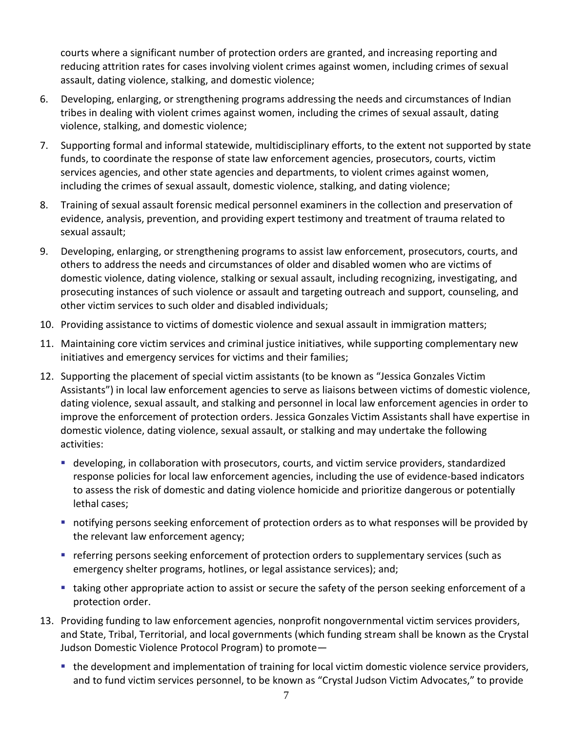courts where a significant number of protection orders are granted, and increasing reporting and reducing attrition rates for cases involving violent crimes against women, including crimes of sexual assault, dating violence, stalking, and domestic violence;

- 6. Developing, enlarging, or strengthening programs addressing the needs and circumstances of Indian tribes in dealing with violent crimes against women, including the crimes of sexual assault, dating violence, stalking, and domestic violence;
- 7. Supporting formal and informal statewide, multidisciplinary efforts, to the extent not supported by state funds, to coordinate the response of state law enforcement agencies, prosecutors, courts, victim services agencies, and other state agencies and departments, to violent crimes against women, including the crimes of sexual assault, domestic violence, stalking, and dating violence;
- 8. Training of sexual assault forensic medical personnel examiners in the collection and preservation of evidence, analysis, prevention, and providing expert testimony and treatment of trauma related to sexual assault;
- 9. Developing, enlarging, or strengthening programs to assist law enforcement, prosecutors, courts, and others to address the needs and circumstances of older and disabled women who are victims of domestic violence, dating violence, stalking or sexual assault, including recognizing, investigating, and prosecuting instances of such violence or assault and targeting outreach and support, counseling, and other victim services to such older and disabled individuals;
- 10. Providing assistance to victims of domestic violence and sexual assault in immigration matters;
- 11. Maintaining core victim services and criminal justice initiatives, while supporting complementary new initiatives and emergency services for victims and their families;
- 12. Supporting the placement of special victim assistants (to be known as "Jessica Gonzales Victim Assistants") in local law enforcement agencies to serve as liaisons between victims of domestic violence, dating violence, sexual assault, and stalking and personnel in local law enforcement agencies in order to improve the enforcement of protection orders. Jessica Gonzales Victim Assistants shall have expertise in domestic violence, dating violence, sexual assault, or stalking and may undertake the following activities:
	- developing, in collaboration with prosecutors, courts, and victim service providers, standardized response policies for local law enforcement agencies, including the use of evidence-based indicators to assess the risk of domestic and dating violence homicide and prioritize dangerous or potentially lethal cases;
	- notifying persons seeking enforcement of protection orders as to what responses will be provided by the relevant law enforcement agency;
	- referring persons seeking enforcement of protection orders to supplementary services (such as emergency shelter programs, hotlines, or legal assistance services); and;
	- taking other appropriate action to assist or secure the safety of the person seeking enforcement of a protection order.
- 13. Providing funding to law enforcement agencies, nonprofit nongovernmental victim services providers, and State, Tribal, Territorial, and local governments (which funding stream shall be known as the Crystal Judson Domestic Violence Protocol Program) to promote
	- the development and implementation of training for local victim domestic violence service providers, and to fund victim services personnel, to be known as "Crystal Judson Victim Advocates," to provide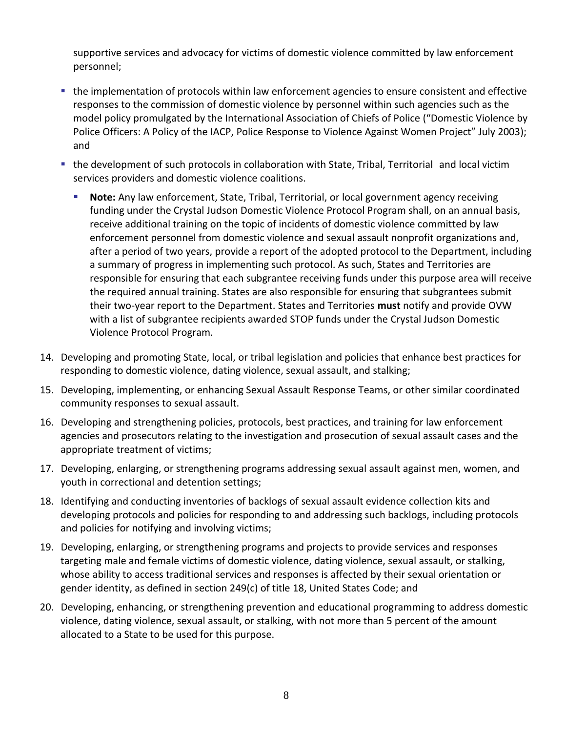supportive services and advocacy for victims of domestic violence committed by law enforcement personnel;

- **the implementation of protocols within law enforcement agencies to ensure consistent and effective** responses to the commission of domestic violence by personnel within such agencies such as the model policy promulgated by the International Association of Chiefs of Police ("Domestic Violence by Police Officers: A Policy of the IACP, Police Response to Violence Against Women Project" July 2003); and
- the development of such protocols in collaboration with State, Tribal, Territorial and local victim services providers and domestic violence coalitions.
	- **Note:** Any law enforcement, State, Tribal, Territorial, or local government agency receiving funding under the Crystal Judson Domestic Violence Protocol Program shall, on an annual basis, receive additional training on the topic of incidents of domestic violence committed by law enforcement personnel from domestic violence and sexual assault nonprofit organizations and, after a period of two years, provide a report of the adopted protocol to the Department, including a summary of progress in implementing such protocol. As such, States and Territories are responsible for ensuring that each subgrantee receiving funds under this purpose area will receive the required annual training. States are also responsible for ensuring that subgrantees submit their two-year report to the Department. States and Territories **must** notify and provide OVW with a list of subgrantee recipients awarded STOP funds under the Crystal Judson Domestic Violence Protocol Program.
- 14. Developing and promoting State, local, or tribal legislation and policies that enhance best practices for responding to domestic violence, dating violence, sexual assault, and stalking;
- 15. Developing, implementing, or enhancing Sexual Assault Response Teams, or other similar coordinated community responses to sexual assault.
- 16. Developing and strengthening policies, protocols, best practices, and training for law enforcement agencies and prosecutors relating to the investigation and prosecution of sexual assault cases and the appropriate treatment of victims;
- 17. Developing, enlarging, or strengthening programs addressing sexual assault against men, women, and youth in correctional and detention settings;
- 18. Identifying and conducting inventories of backlogs of sexual assault evidence collection kits and developing protocols and policies for responding to and addressing such backlogs, including protocols and policies for notifying and involving victims;
- 19. Developing, enlarging, or strengthening programs and projects to provide services and responses targeting male and female victims of domestic violence, dating violence, sexual assault, or stalking, whose ability to access traditional services and responses is affected by their sexual orientation or gender identity, as defined in section 249(c) of title 18, United States Code; and
- 20. Developing, enhancing, or strengthening prevention and educational programming to address domestic violence, dating violence, sexual assault, or stalking, with not more than 5 percent of the amount allocated to a State to be used for this purpose.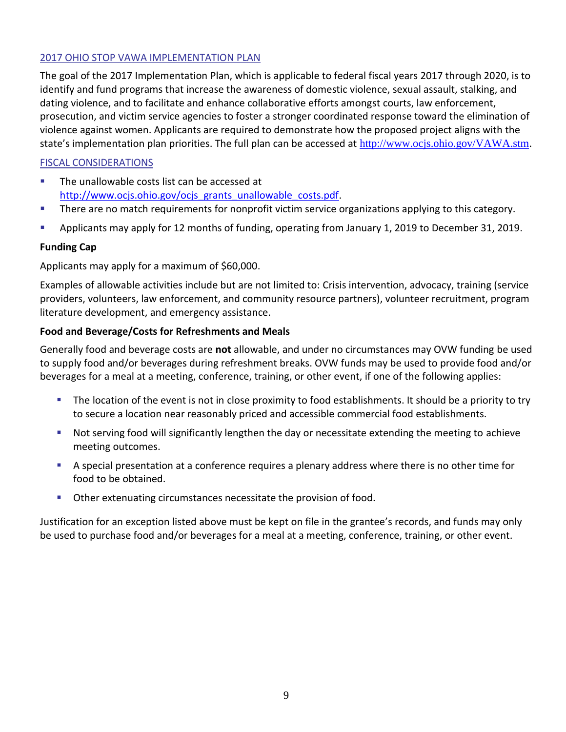#### 2017 OHIO STOP VAWA IMPLEMENTATION PLAN

The goal of the 2017 Implementation Plan, which is applicable to federal fiscal years 2017 through 2020, is to identify and fund programs that increase the awareness of domestic violence, sexual assault, stalking, and dating violence, and to facilitate and enhance collaborative efforts amongst courts, law enforcement, prosecution, and victim service agencies to foster a stronger coordinated response toward the elimination of violence against women. Applicants are required to demonstrate how the proposed project aligns with the state's implementation plan priorities. The full plan can be accessed at <http://www.ocjs.ohio.gov/VAWA.stm>.

#### FISCAL CONSIDERATIONS

- **The unallowable costs list can be accessed at** [http://www.ocjs.ohio.gov/ocjs\\_grants\\_unallowable\\_costs.pdf.](http://www.ocjs.ohio.gov/ocjs_grants_unallowable_costs.pdf)
- There are no match requirements for nonprofit victim service organizations applying to this category.
- Applicants may apply for 12 months of funding, operating from January 1, 2019 to December 31, 2019.

#### **Funding Cap**

Applicants may apply for a maximum of \$60,000.

Examples of allowable activities include but are not limited to: Crisis intervention, advocacy, training (service providers, volunteers, law enforcement, and community resource partners), volunteer recruitment, program literature development, and emergency assistance.

#### **Food and Beverage/Costs for Refreshments and Meals**

Generally food and beverage costs are **not** allowable, and under no circumstances may OVW funding be used to supply food and/or beverages during refreshment breaks. OVW funds may be used to provide food and/or beverages for a meal at a meeting, conference, training, or other event, if one of the following applies:

- The location of the event is not in close proximity to food establishments. It should be a priority to try to secure a location near reasonably priced and accessible commercial food establishments.
- Not serving food will significantly lengthen the day or necessitate extending the meeting to achieve meeting outcomes.
- A special presentation at a conference requires a plenary address where there is no other time for food to be obtained.
- **Other extenuating circumstances necessitate the provision of food.**

Justification for an exception listed above must be kept on file in the grantee's records, and funds may only be used to purchase food and/or beverages for a meal at a meeting, conference, training, or other event.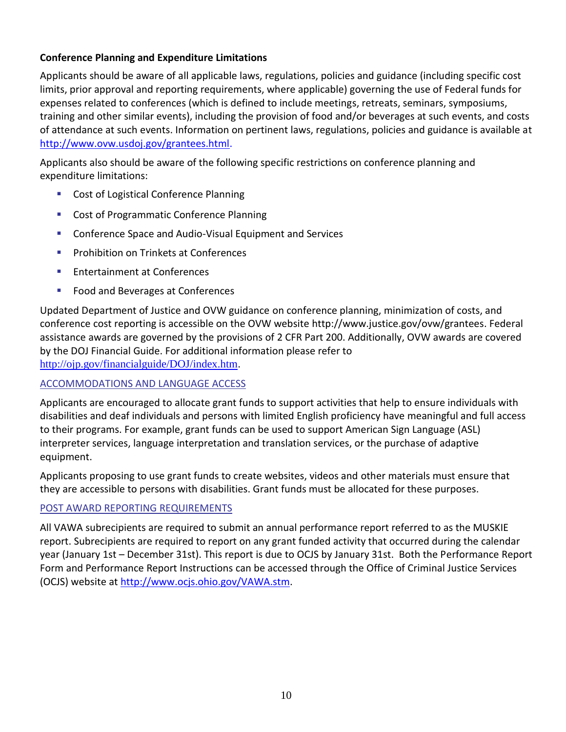#### **Conference Planning and Expenditure Limitations**

Applicants should be aware of all applicable laws, regulations, policies and guidance (including specific cost limits, prior approval and reporting requirements, where applicable) governing the use of Federal funds for expenses related to conferences (which is defined to include meetings, retreats, seminars, symposiums, training and other similar events), including the provision of food and/or beverages at such events, and costs of attendance at such events. Information on pertinent laws, regulations, policies and guidance is available at [http://www.ovw.usdoj.gov/grantees.html.](http://www.ovw.usdoj.gov/grantees.html)

Applicants also should be aware of the following specific restrictions on conference planning and expenditure limitations:

- Cost of Logistical Conference Planning
- **Cost of Programmatic Conference Planning**
- **E** Conference Space and Audio-Visual Equipment and Services
- **Prohibition on Trinkets at Conferences**
- **Entertainment at Conferences**
- **Food and Beverages at Conferences**

Updated Department of Justice and OVW guidance on conference planning, minimization of costs, and conference cost reporting is accessible on the OVW website [http://www.justice.gov/ovw/grantees.](http://www.justice.gov/ovw/grantees) Federal assistance awards are governed by the provisions of 2 CFR Part 200. Additionally, OVW awards are covered by the DOJ Financial Guide. For additional information please refer to <http://ojp.gov/financialguide/DOJ/index.htm>.

#### ACCOMMODATIONS AND LANGUAGE ACCESS

Applicants are encouraged to allocate grant funds to support activities that help to ensure individuals with disabilities and deaf individuals and persons with limited English proficiency have meaningful and full access to their programs. For example, grant funds can be used to support American Sign Language (ASL) interpreter services, language interpretation and translation services, or the purchase of adaptive equipment.

Applicants proposing to use grant funds to create websites, videos and other materials must ensure that they are accessible to persons with disabilities. Grant funds must be allocated for these purposes.

#### POST AWARD REPORTING REQUIREMENTS

All VAWA subrecipients are required to submit an annual performance report referred to as the MUSKIE report. Subrecipients are required to report on any grant funded activity that occurred during the calendar year (January 1st – December 31st). This report is due to OCJS by January 31st. Both the Performance Report Form and Performance Report Instructions can be accessed through the Office of Criminal Justice Services (OCJS) website at [http://www.ocjs.ohio.gov/VAWA.stm.](http://www.ocjs.ohio.gov/VAWA.stm)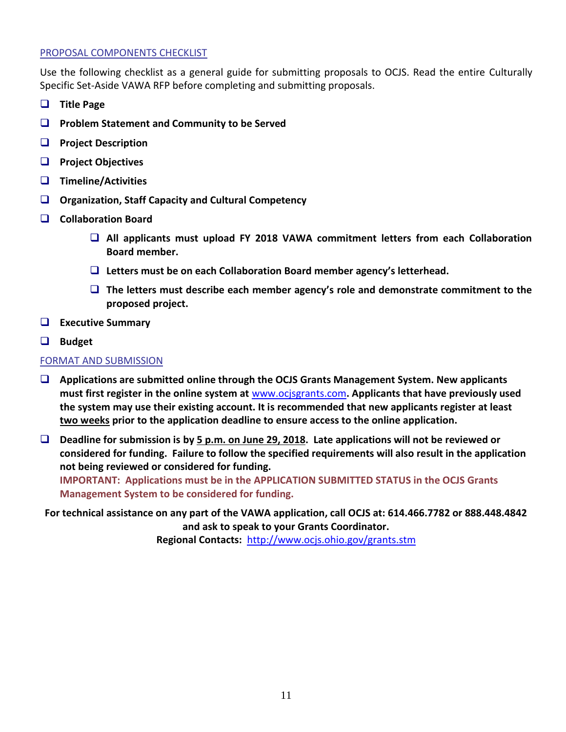#### PROPOSAL COMPONENTS CHECKLIST

Use the following checklist as a general guide for submitting proposals to OCJS. Read the entire Culturally Specific Set-Aside VAWA RFP before completing and submitting proposals.

- **Title Page**
- **Problem Statement and Community to be Served**
- **Project Description**
- **Project Objectives**
- **Timeline/Activities**
- **Organization, Staff Capacity and Cultural Competency**
- **Collaboration Board**
	- **All applicants must upload FY 2018 VAWA commitment letters from each Collaboration Board member.**
	- **Letters must be on each Collaboration Board member agency's letterhead.**
	- **The letters must describe each member agency's role and demonstrate commitment to the proposed project.**
- **Executive Summary**
- **Budget**

#### FORMAT AND SUBMISSION

- **Applications are submitted online through the OCJS Grants Management System. New applicants must first register in the online system at** [www.ocjsgrants.com](http://www.ocjsgrants.com/)**. Applicants that have previously used the system may use their existing account. It is recommended that new applicants register at least two weeks prior to the application deadline to ensure access to the online application.**
- **Deadline for submission is by 5 p.m. on June 29, 2018. Late applications will not be reviewed or considered for funding. Failure to follow the specified requirements will also result in the application not being reviewed or considered for funding. IMPORTANT: Applications must be in the APPLICATION SUBMITTED STATUS in the OCJS Grants**

**Management System to be considered for funding.**

**For technical assistance on any part of the VAWA application, call OCJS at: 614.466.7782 or 888.448.4842 and ask to speak to your Grants Coordinator.** 

**Regional Contacts:** <http://www.ocjs.ohio.gov/grants.stm>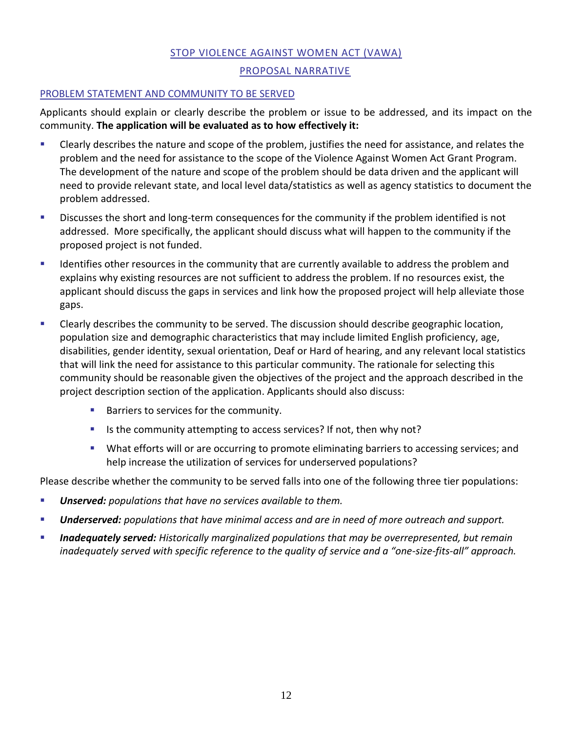#### STOP VIOLENCE AGAINST WOMEN ACT (VAWA)

#### PROPOSAL NARRATIVE

#### PROBLEM STATEMENT AND COMMUNITY TO BE SERVED

Applicants should explain or clearly describe the problem or issue to be addressed, and its impact on the community. **The application will be evaluated as to how effectively it:**

- Clearly describes the nature and scope of the problem, justifies the need for assistance, and relates the problem and the need for assistance to the scope of the Violence Against Women Act Grant Program. The development of the nature and scope of the problem should be data driven and the applicant will need to provide relevant state, and local level data/statistics as well as agency statistics to document the problem addressed.
- **Discusses the short and long-term consequences for the community if the problem identified is not** addressed. More specifically, the applicant should discuss what will happen to the community if the proposed project is not funded.
- **If the Identifies other resources in the community that are currently available to address the problem and** explains why existing resources are not sufficient to address the problem. If no resources exist, the applicant should discuss the gaps in services and link how the proposed project will help alleviate those gaps.
- Clearly describes the community to be served. The discussion should describe geographic location, population size and demographic characteristics that may include limited English proficiency, age, disabilities, gender identity, sexual orientation, Deaf or Hard of hearing, and any relevant local statistics that will link the need for assistance to this particular community. The rationale for selecting this community should be reasonable given the objectives of the project and the approach described in the project description section of the application. Applicants should also discuss:
	- **Barriers to services for the community.**
	- If is the community attempting to access services? If not, then why not?
	- What efforts will or are occurring to promote eliminating barriers to accessing services; and help increase the utilization of services for underserved populations?

Please describe whether the community to be served falls into one of the following three tier populations:

- *Unserved: populations that have no services available to them.*
- *Underserved: populations that have minimal access and are in need of more outreach and support.*
- *Inadequately served: Historically marginalized populations that may be overrepresented, but remain inadequately served with specific reference to the quality of service and a "one-size-fits-all" approach.*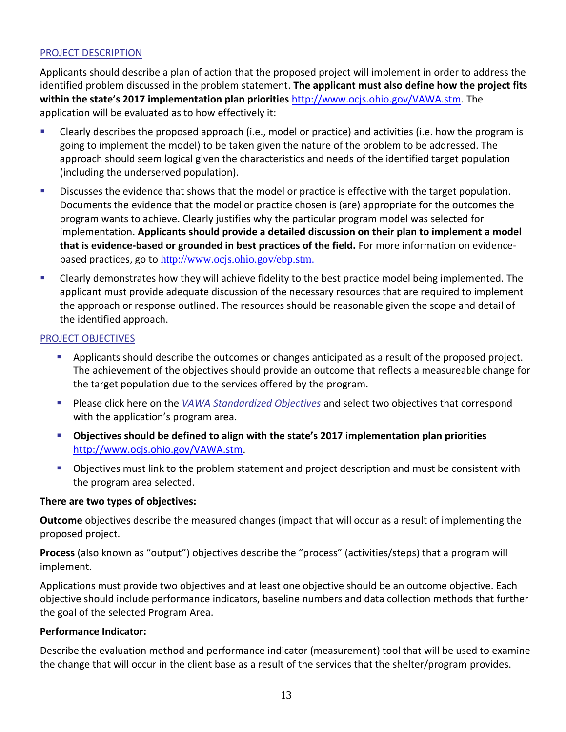#### PROJECT DESCRIPTION

Applicants should describe a plan of action that the proposed project will implement in order to address the identified problem discussed in the problem statement. **The applicant must also define how the project fits within the state's 2017 implementation plan priorities** [http://www.ocjs.ohio.gov/VAWA.stm.](http://www.ocjs.ohio.gov/VAWA.stm) The application will be evaluated as to how effectively it:

- Clearly describes the proposed approach (i.e., model or practice) and activities (i.e. how the program is going to implement the model) to be taken given the nature of the problem to be addressed. The approach should seem logical given the characteristics and needs of the identified target population (including the underserved population).
- **Discusses the evidence that shows that the model or practice is effective with the target population.** Documents the evidence that the model or practice chosen is (are) appropriate for the outcomes the program wants to achieve. Clearly justifies why the particular program model was selected for implementation. **Applicants should provide a detailed discussion on their plan to implement a model that is evidence-based or grounded in best practices of the field.** For more information on evidencebased practices, go to <http://www.ocjs.ohio.gov/ebp.stm>.
- Clearly demonstrates how they will achieve fidelity to the best practice model being implemented. The applicant must provide adequate discussion of the necessary resources that are required to implement the approach or response outlined. The resources should be reasonable given the scope and detail of the identified approach.

#### PROJECT OBJECTIVES

- Applicants should describe the outcomes or changes anticipated as a result of the proposed project. The achievement of the objectives should provide an outcome that reflects a measureable change for the target population due to the services offered by the program.
- Please click here on the *[VAWA Standardized Objectives](http://publicsafety.ohio.gov/links/ocjs-VAWA-2015-Objectives.docx)* and select two objectives that correspond with the application's program area.
- **Objectives should be defined to align with the state's 2017 implementation plan priorities** <http://www.ocjs.ohio.gov/VAWA.stm>.
- Objectives must link to the problem statement and project description and must be consistent with the program area selected.

#### **There are two types of objectives:**

**Outcome** objectives describe the measured changes (impact that will occur as a result of implementing the proposed project.

**Process** (also known as "output") objectives describe the "process" (activities/steps) that a program will implement.

Applications must provide two objectives and at least one objective should be an outcome objective. Each objective should include performance indicators, baseline numbers and data collection methods that further the goal of the selected Program Area.

#### **Performance Indicator:**

Describe the evaluation method and performance indicator (measurement) tool that will be used to examine the change that will occur in the client base as a result of the services that the shelter/program provides.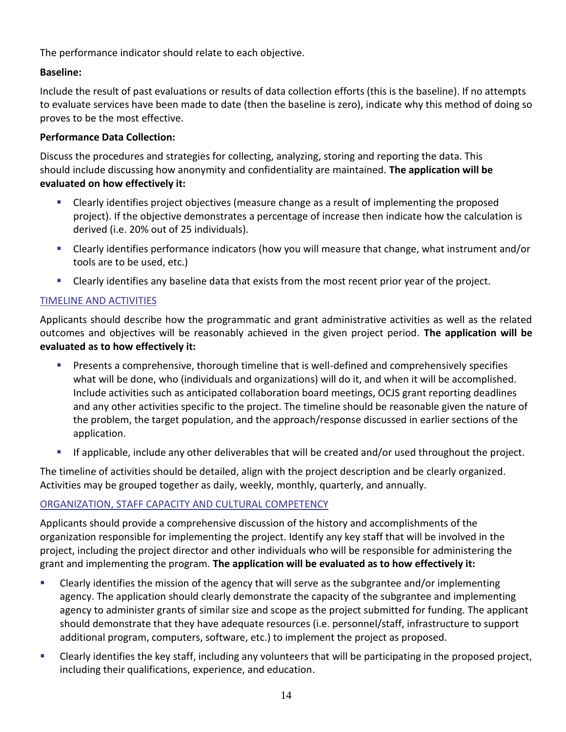The performance indicator should relate to each objective.

#### **Baseline:**

Include the result of past evaluations or results of data collection efforts (this is the baseline). If no attempts to evaluate services have been made to date (then the baseline is zero), indicate why this method of doing so proves to be the most effective.

#### **Performance Data Collection:**

Discuss the procedures and strategies for collecting, analyzing, storing and reporting the data. This should include discussing how anonymity and confidentiality are maintained. **The application will be evaluated on how effectively it:**

- Clearly identifies project objectives (measure change as a result of implementing the proposed project). If the objective demonstrates a percentage of increase then indicate how the calculation is derived (i.e. 20% out of 25 individuals).
- Clearly identifies performance indicators (how you will measure that change, what instrument and/or tools are to be used, etc.)
- Clearly identifies any baseline data that exists from the most recent prior year of the project.

#### TIMELINE AND ACTIVITIES

Applicants should describe how the programmatic and grant administrative activities as well as the related outcomes and objectives will be reasonably achieved in the given project period. **The application will be evaluated as to how effectively it:**

- **Presents a comprehensive, thorough timeline that is well-defined and comprehensively specifies** what will be done, who (individuals and organizations) will do it, and when it will be accomplished. Include activities such as anticipated collaboration board meetings, OCJS grant reporting deadlines and any other activities specific to the project. The timeline should be reasonable given the nature of the problem, the target population, and the approach/response discussed in earlier sections of the application.
- If applicable, include any other deliverables that will be created and/or used throughout the project.

The timeline of activities should be detailed, align with the project description and be clearly organized. Activities may be grouped together as daily, weekly, monthly, quarterly, and annually.

#### ORGANIZATION, STAFF CAPACITY AND CULTURAL COMPETENCY

Applicants should provide a comprehensive discussion of the history and accomplishments of the organization responsible for implementing the project. Identify any key staff that will be involved in the project, including the project director and other individuals who will be responsible for administering the grant and implementing the program. **The application will be evaluated as to how effectively it:**

- Clearly identifies the mission of the agency that will serve as the subgrantee and/or implementing agency. The application should clearly demonstrate the capacity of the subgrantee and implementing agency to administer grants of similar size and scope as the project submitted for funding. The applicant should demonstrate that they have adequate resources (i.e. personnel/staff, infrastructure to support additional program, computers, software, etc.) to implement the project as proposed.
- Clearly identifies the key staff, including any volunteers that will be participating in the proposed project, including their qualifications, experience, and education.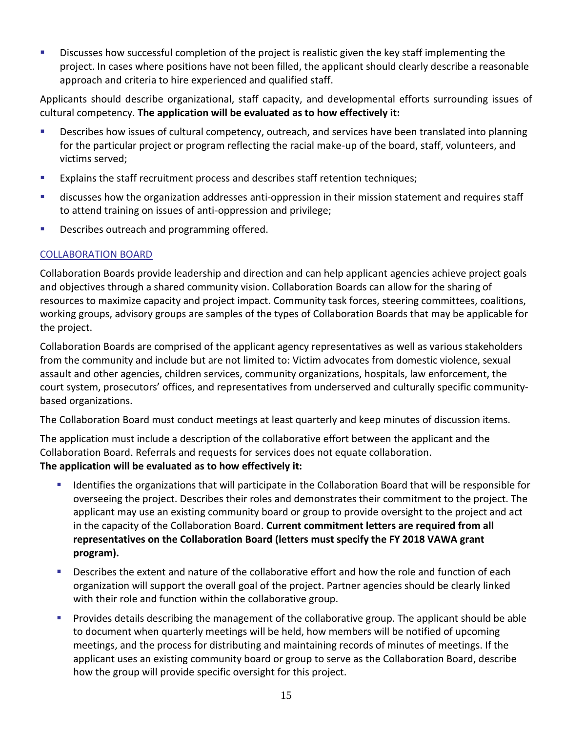**Discusses how successful completion of the project is realistic given the key staff implementing the** project. In cases where positions have not been filled, the applicant should clearly describe a reasonable approach and criteria to hire experienced and qualified staff.

Applicants should describe organizational, staff capacity, and developmental efforts surrounding issues of cultural competency. **The application will be evaluated as to how effectively it:**

- **Describes how issues of cultural competency, outreach, and services have been translated into planning** for the particular project or program reflecting the racial make-up of the board, staff, volunteers, and victims served;
- **EXPLAING THE STATE STATE FIGGS IN A EXPLAINS FIGGS**: Explains the staff retention techniques;
- discusses how the organization addresses anti-oppression in their mission statement and requires staff to attend training on issues of anti-oppression and privilege;
- **Describes outreach and programming offered.**

#### COLLABORATION BOARD

Collaboration Boards provide leadership and direction and can help applicant agencies achieve project goals and objectives through a shared community vision. Collaboration Boards can allow for the sharing of resources to maximize capacity and project impact. Community task forces, steering committees, coalitions, working groups, advisory groups are samples of the types of Collaboration Boards that may be applicable for the project.

Collaboration Boards are comprised of the applicant agency representatives as well as various stakeholders from the community and include but are not limited to: Victim advocates from domestic violence, sexual assault and other agencies, children services, community organizations, hospitals, law enforcement, the court system, prosecutors' offices, and representatives from underserved and culturally specific communitybased organizations.

The Collaboration Board must conduct meetings at least quarterly and keep minutes of discussion items.

The application must include a description of the collaborative effort between the applicant and the Collaboration Board. Referrals and requests for services does not equate collaboration.

#### **The application will be evaluated as to how effectively it:**

- Identifies the organizations that will participate in the Collaboration Board that will be responsible for overseeing the project. Describes their roles and demonstrates their commitment to the project. The applicant may use an existing community board or group to provide oversight to the project and act in the capacity of the Collaboration Board. **Current commitment letters are required from all representatives on the Collaboration Board (letters must specify the FY 2018 VAWA grant program).**
- **Describes the extent and nature of the collaborative effort and how the role and function of each** organization will support the overall goal of the project. Partner agencies should be clearly linked with their role and function within the collaborative group.
- **Provides details describing the management of the collaborative group. The applicant should be able** to document when quarterly meetings will be held, how members will be notified of upcoming meetings, and the process for distributing and maintaining records of minutes of meetings. If the applicant uses an existing community board or group to serve as the Collaboration Board, describe how the group will provide specific oversight for this project.